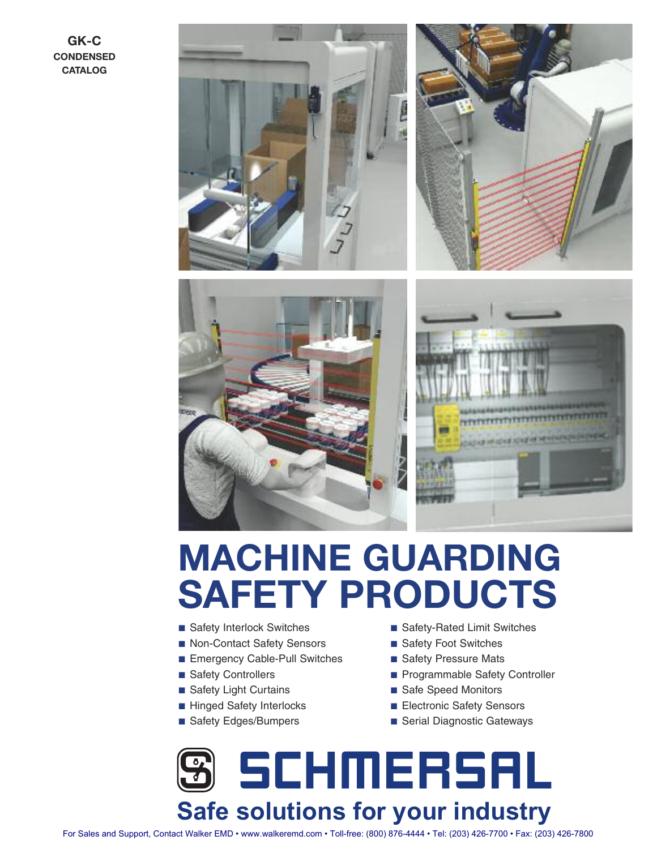**GK-C CONDENSED CATALOG**









# **MACHINE GUARDING SAFETY PRODUCTS**

- Safety Interlock Switches
- Non-Contact Safety Sensors
- Emergency Cable-Pull Switches
- Safety Controllers
- Safety Light Curtains
- Hinged Safety Interlocks
- Safety Edges/Bumpers
- Safety-Rated Limit Switches
- Safety Foot Switches
- Safety Pressure Mats
- Programmable Safety Controller
- Safe Speed Monitors
- Electronic Safety Sensors
- Serial Diagnostic Gateways



For Sales and Support, Contact Walker EMD • www.walkeremd.com • Toll-free: (800) 876-4444 • Tel: (203) 426-7700 • Fax: (203) 426-7800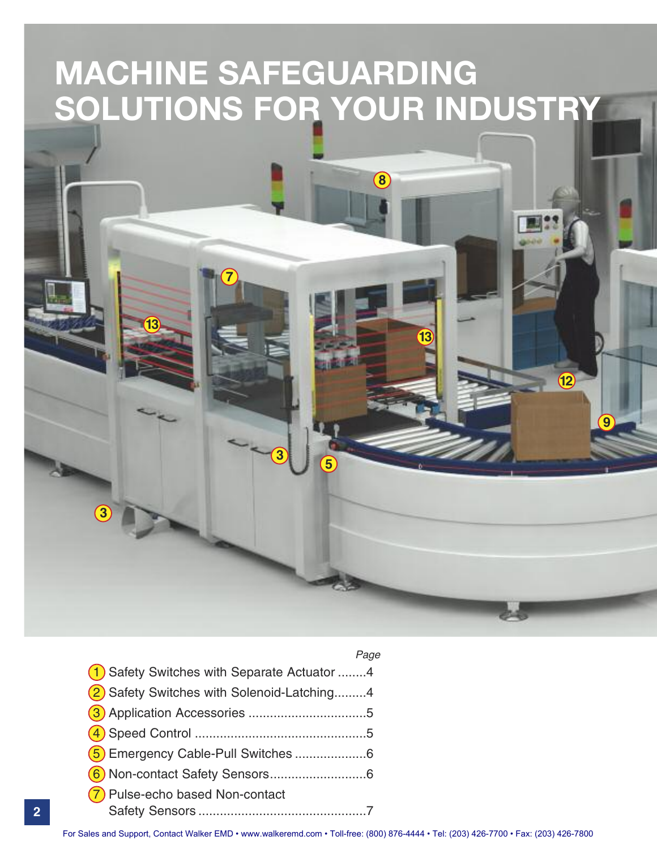# **MACHINE SAFEGUARDING SOLUTIONS FOR YOUR INDUSTRY**

**<sup>3</sup> <sup>5</sup>**

**8**

**13**

#### Page

**12**

**9**

| (1) Safety Switches with Separate Actuator 4 |
|----------------------------------------------|
| 2 Safety Switches with Solenoid-Latching4    |
|                                              |
|                                              |
| (5) Emergency Cable-Pull Switches 6          |
|                                              |
| (7) Pulse-echo based Non-contact             |
|                                              |

For Sales and Support, Contact Walker EMD • www.walkeremd.com • Toll-free: (800) 876-4444 • Tel: (203) 426-7700 • Fax: (203) 426-7800

**3**

**13**

**7**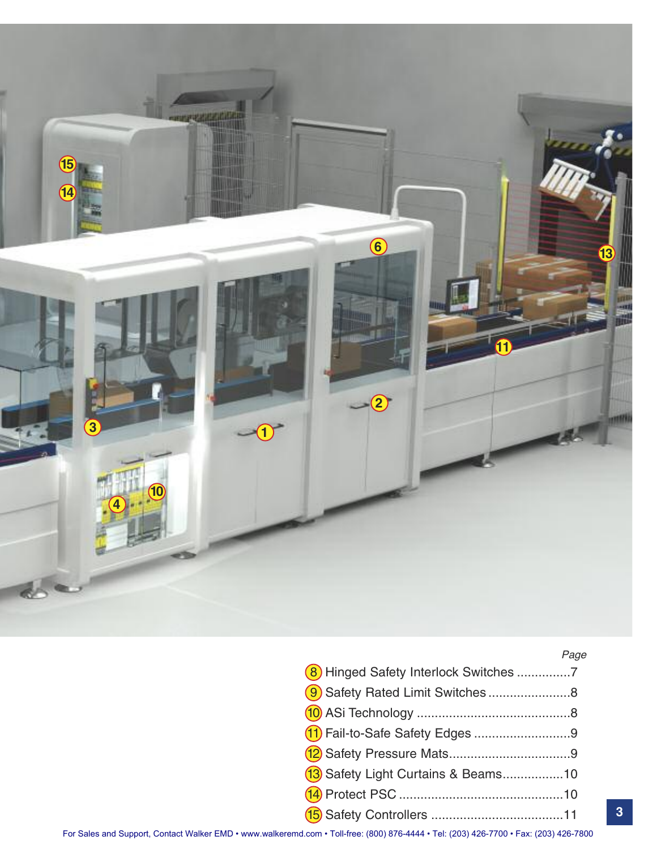

#### Page

| 8 Hinged Safety Interlock Switches 7 |  |
|--------------------------------------|--|
| 9 Safety Rated Limit Switches8       |  |
|                                      |  |
| (11) Fail-to-Safe Safety Edges 9     |  |
|                                      |  |
| 13 Safety Light Curtains & Beams10   |  |
|                                      |  |
|                                      |  |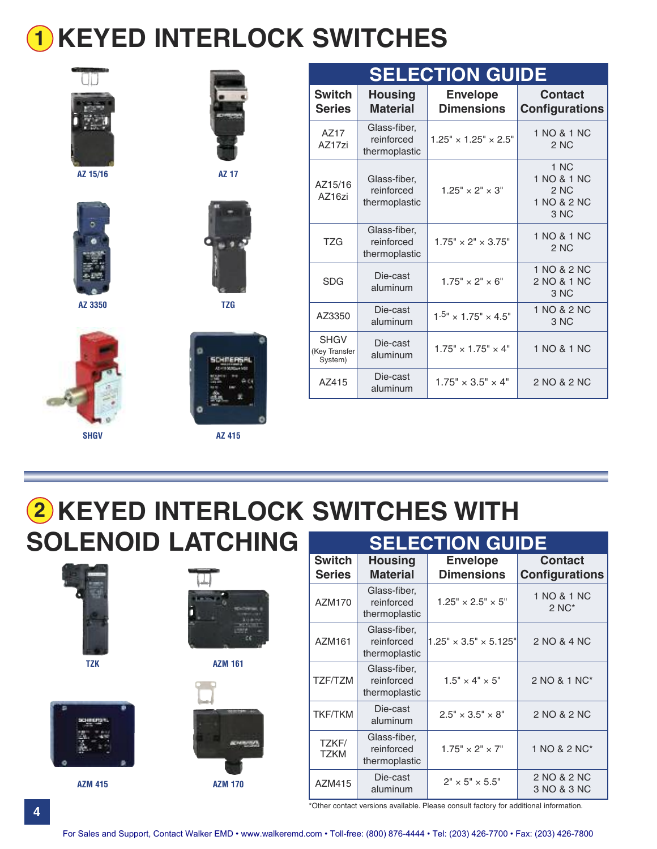# **KEYED INTERLOCK SWITCHES 1**



**AZ 15/16 AZ 17**



**AZ 3350 TZG**











| <b>SELECTION GUIDE</b>                  |                                             |                                      |                                                    |  |  |
|-----------------------------------------|---------------------------------------------|--------------------------------------|----------------------------------------------------|--|--|
| <b>Switch</b><br><b>Series</b>          | <b>Housing</b><br><b>Material</b>           | <b>Envelope</b><br><b>Dimensions</b> | <b>Contact</b><br><b>Configurations</b>            |  |  |
| AZ17<br>AZ17zi                          | Glass-fiber,<br>reinforced<br>thermoplastic | $1.25" \times 1.25" \times 2.5"$     | 1 NO & 1 NC<br>2 NC                                |  |  |
| AZ15/16<br>AZ16zi                       | Glass-fiber,<br>reinforced<br>thermoplastic | $1.25" \times 2" \times 3"$          | 1 NC<br>1 NO & 1 NC<br>2 NC<br>1 NO & 2 NC<br>3 NC |  |  |
| T <sub>7G</sub>                         | Glass-fiber,<br>reinforced<br>thermoplastic | $1.75" \times 2" \times 3.75"$       | 1 NO & 1 NC<br>2 NC                                |  |  |
| <b>SDG</b>                              | Die-cast<br>aluminum                        | $1.75" \times 2" \times 6"$          | 1 NO & 2 NC<br>2 NO & 1 NC<br>3 NC                 |  |  |
| AZ3350                                  | Die-cast<br>aluminum                        | $1.5" \times 1.75" \times 4.5"$      | 1 NO & 2 NC<br>3 NC                                |  |  |
| <b>SHGV</b><br>(Key Transfer<br>System) | Die-cast<br>aluminum                        | $1.75" \times 1.75" \times 4"$       | 1 NO & 1 NC                                        |  |  |
| AZ415                                   | Die-cast<br>aluminum                        | $1.75" \times 3.5" \times 4"$        | 2 NO & 2 NC                                        |  |  |

**KEYED INTERLOCK SWITCHES WITH 2 SOLENOID LATCHING**





**AZM 415 AZM 170**

| <b>SELECTION GUIDE</b>         |                                             |                                      |                                         |  |  |
|--------------------------------|---------------------------------------------|--------------------------------------|-----------------------------------------|--|--|
| <b>Switch</b><br><b>Series</b> | <b>Housing</b><br><b>Material</b>           | <b>Envelope</b><br><b>Dimensions</b> | <b>Contact</b><br><b>Configurations</b> |  |  |
| AZM170                         | Glass-fiber,<br>reinforced<br>thermoplastic | $1.25" \times 2.5" \times 5"$        | 1 NO & 1 NC<br>$2NC^*$                  |  |  |
| AZM161                         | Glass-fiber,<br>reinforced<br>thermoplastic | $1.25" \times 3.5" \times 5.125"$    | 2 NO & 4 NC                             |  |  |
| TZF/TZM                        | Glass-fiber,<br>reinforced<br>thermoplastic | $1.5" \times 4" \times 5"$           | 2 NO & 1 NC*                            |  |  |
| TKF/TKM                        | Die-cast<br>aluminum                        | $2.5" \times 3.5" \times 8"$         | 2 NO & 2 NC                             |  |  |
| TZKF/<br><b>TZKM</b>           | Glass-fiber,<br>reinforced<br>thermoplastic | $1.75" \times 2" \times 7"$          | 1 NO & 2 NC*                            |  |  |
| AZM415                         | Die-cast<br>aluminum                        | $2" \times 5" \times 5.5"$           | 2 NO & 2 NC<br>3 NO & 3 NC              |  |  |

\*Other contact versions available. Please consult factory for additional information.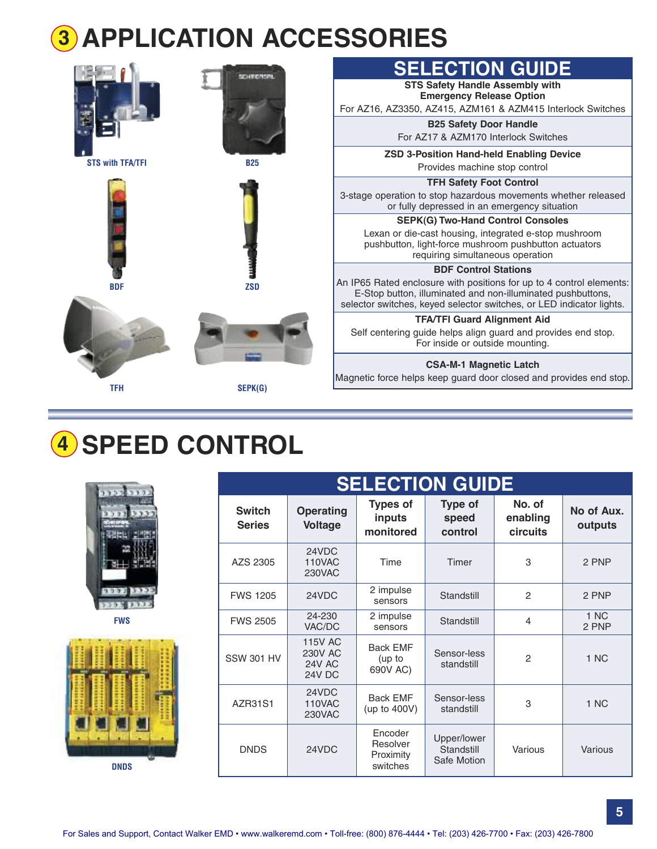# **APPLICATION ACCESSORIES 3**

|                         |                                                                                                                                                    | <b>SELECTION GUIDE</b>                                                                                                                                                                                      |
|-------------------------|----------------------------------------------------------------------------------------------------------------------------------------------------|-------------------------------------------------------------------------------------------------------------------------------------------------------------------------------------------------------------|
|                         |                                                                                                                                                    | <b>STS Safety Handle Assembly with</b><br><b>Emergency Release Option</b>                                                                                                                                   |
|                         |                                                                                                                                                    | For AZ16, AZ3350, AZ415, AZM161 & AZM415 Interlock Switches                                                                                                                                                 |
|                         |                                                                                                                                                    | <b>B25 Safety Door Handle</b>                                                                                                                                                                               |
|                         |                                                                                                                                                    | For AZ17 & AZM170 Interlock Switches                                                                                                                                                                        |
| <b>STS with TFA/TFI</b> | <b>B25</b>                                                                                                                                         | <b>ZSD 3-Position Hand-held Enabling Device</b>                                                                                                                                                             |
|                         |                                                                                                                                                    | Provides machine stop control                                                                                                                                                                               |
|                         |                                                                                                                                                    | <b>TFH Safety Foot Control</b>                                                                                                                                                                              |
|                         |                                                                                                                                                    | 3-stage operation to stop hazardous movements whether released<br>or fully depressed in an emergency situation                                                                                              |
|                         |                                                                                                                                                    | <b>SEPK(G) Two-Hand Control Consoles</b>                                                                                                                                                                    |
|                         | Lexan or die-cast housing, integrated e-stop mushroom<br>pushbutton, light-force mushroom pushbutton actuators<br>requiring simultaneous operation |                                                                                                                                                                                                             |
|                         |                                                                                                                                                    | <b>BDF Control Stations</b>                                                                                                                                                                                 |
| <b>BDF</b>              | <b>ZSD</b>                                                                                                                                         | An IP65 Rated enclosure with positions for up to 4 control elements:<br>E-Stop button, illuminated and non-illuminated pushbuttons,<br>selector switches, keyed selector switches, or LED indicator lights. |
|                         |                                                                                                                                                    | <b>TFA/TFI Guard Alignment Aid</b>                                                                                                                                                                          |
|                         |                                                                                                                                                    | Self centering guide helps align guard and provides end stop.<br>For inside or outside mounting.                                                                                                            |
|                         |                                                                                                                                                    | <b>CSA-M-1 Magnetic Latch</b>                                                                                                                                                                               |
| TFH                     | SEPK(G)                                                                                                                                            | Magnetic force helps keep guard door closed and provides end stop.                                                                                                                                          |
|                         |                                                                                                                                                    |                                                                                                                                                                                                             |

# **SPEED CONTROL 4**



|                                | <b>SELECTION GUIDE</b>                                      |                                              |                                          |                                       |                       |  |
|--------------------------------|-------------------------------------------------------------|----------------------------------------------|------------------------------------------|---------------------------------------|-----------------------|--|
| <b>Switch</b><br><b>Series</b> | <b>Operating</b><br><b>Voltage</b>                          | <b>Types of</b><br>inputs<br>monitored       | <b>Type of</b><br>speed<br>control       | No. of<br>enabling<br><b>circuits</b> | No of Aux.<br>outputs |  |
| AZS 2305                       | 24VDC<br>110VAC<br><b>230VAC</b>                            | Time                                         | Timer                                    | 3                                     | 2 PNP                 |  |
| <b>FWS 1205</b>                | 24VDC                                                       | 2 impulse<br>sensors                         | Standstill                               | $\overline{c}$                        | 2 PNP                 |  |
| <b>FWS 2505</b>                | 24-230<br>VAC/DC                                            | 2 impulse<br>sensors                         | Standstill                               | 4                                     | 1 NC<br>2 PNP         |  |
| <b>SSW 301 HV</b>              | <b>115V AC</b><br><b>230V AC</b><br><b>24V AC</b><br>24V DC | <b>Back EMF</b><br>(up to<br>690V AC)        | Sensor-less<br>standstill                | $\mathcal{P}$                         | 1 NC                  |  |
| AZR31S1                        | 24VDC<br>110VAC<br><b>230VAC</b>                            | <b>Back EMF</b><br>(up to 400V)              | Sensor-less<br>standstill                | 3                                     | 1 NC                  |  |
| <b>DNDS</b>                    | 24VDC                                                       | Encoder<br>Resolver<br>Proximity<br>switches | Upper/lower<br>Standstill<br>Safe Motion | Various                               | Various               |  |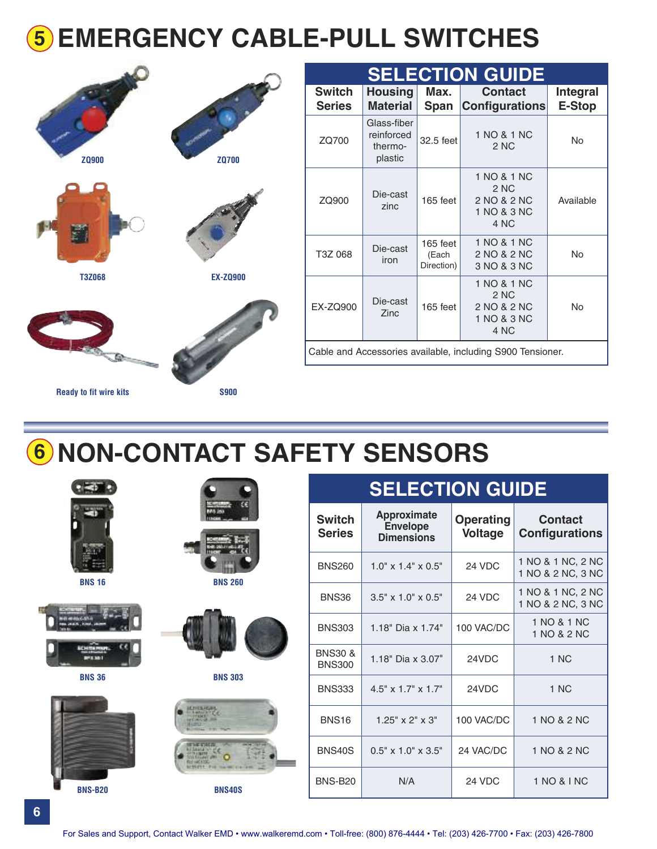# **EMERGENCY CABLE-PULL SWITCHES 5**



| <b>Ready to fit wire kits</b> | <b>S900</b> |
|-------------------------------|-------------|
|                               |             |

|     | <b>SELECTION GUIDE</b>         |                                                 |                                 |                                                            |         |
|-----|--------------------------------|-------------------------------------------------|---------------------------------|------------------------------------------------------------|---------|
|     | <b>Switch</b><br><b>Series</b> | <b>Housing</b><br><b>Material</b>               | Max.<br>Span                    | <b>Contact</b><br><b>Configurations</b>                    | Ir<br>E |
| 0   | ZQ700                          | Glass-fiber<br>reinforced<br>thermo-<br>plastic | 32.5 feet                       | 1 NO & 1 NC<br>2 NC                                        |         |
|     | ZQ900                          | Die-cast<br>zinc                                | 165 feet                        | 1 NO & 1 NC<br>2 NC<br>2 NO & 2 NC<br>1 NO & 3 NC<br>4 NC  | Α       |
|     | T3Z 068                        | Die-cast<br>iron                                | 165 feet<br>(Each<br>Direction) | 1 NO & 1 NC<br>2 NO & 2 NC<br>3 NO & 3 NC                  |         |
| 900 | <b>EX-ZQ900</b>                | Die-cast<br>Zinc                                | 165 feet                        | 1 NO & 1 NC<br>2 NC<br>2 NO & 2 NC<br>1 NO & 3 NC<br>4 NC  |         |
|     |                                |                                                 |                                 | Cable and Accessories available, including S900 Tensioner. |         |

# **NON-CONTACT SAFETY SENSORS 6**

| sinn<br><b>BNS 16</b> | والمنسد<br><b>BNS 260</b>                                                                                              |
|-----------------------|------------------------------------------------------------------------------------------------------------------------|
| c<br><b>PER 345 1</b> |                                                                                                                        |
| <b>BNS 36</b>         | <b>BNS 303</b><br><b>ALTERNATIVE</b><br><b>EGRO</b><br><b>Hannon</b><br>Rel ord 100<br><b>ACTIVES: For the HAT STA</b> |

**BNS-B20 BNS40S**

### **SELECTION GUIDE**

 $2 NC$  No

**Integral E-Stop**

Available

No

No

| <b>Switch</b><br><b>Series</b>      | Approximate<br><b>Envelope</b><br><b>Dimensions</b> | <b>Operating</b><br><b>Voltage</b> | <b>Contact</b><br><b>Configurations</b> |
|-------------------------------------|-----------------------------------------------------|------------------------------------|-----------------------------------------|
| <b>BNS260</b>                       | $1.0'' \times 1.4'' \times 0.5''$                   | 24 VDC                             | 1 NO & 1 NC, 2 NC<br>1 NO & 2 NC, 3 NC  |
| BNS36                               | $3.5" \times 1.0" \times 0.5"$                      | 24 VDC                             | 1 NO & 1 NC, 2 NC<br>1 NO & 2 NC, 3 NC  |
| <b>BNS303</b>                       | 1.18" Dia x 1.74"                                   | 100 VAC/DC                         | 1 NO & 1 NC<br>1 NO & 2 NC              |
| <b>BNS30 &amp;</b><br><b>BNS300</b> | 1.18" Dia x 3.07"                                   | 24VDC                              | 1 NC                                    |
| <b>BNS333</b>                       | $4.5" \times 1.7" \times 1.7"$                      | 24VDC                              | 1 NC                                    |
| <b>BNS16</b>                        | $1.25" \times 2" \times 3"$                         | 100 VAC/DC                         | 1 NO & 2 NC                             |
| <b>BNS40S</b>                       | $0.5" \times 1.0" \times 3.5"$                      | 24 VAC/DC                          | 1 NO & 2 NC                             |
| <b>BNS-B20</b>                      | N/A                                                 | 24 VDC                             | 1 NO & I NC                             |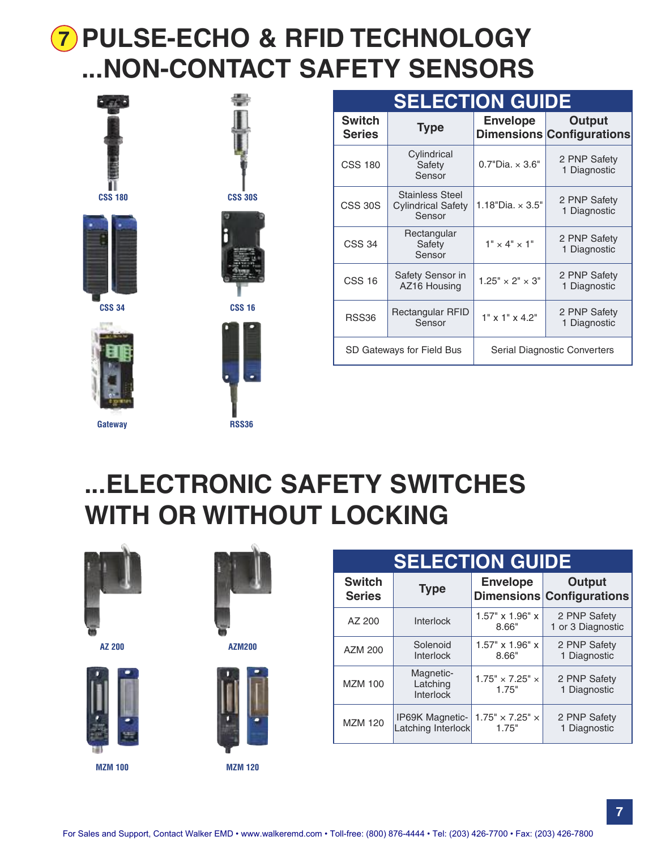## **7 PULSE-ECHO & RFID TECHNOLOGY ...NON-CONTACT SAFETY SENSORS**



**CSS 34**

**Gateway**



| . .<br>чиш                     |                                                               |                             |                                                   |  |  |
|--------------------------------|---------------------------------------------------------------|-----------------------------|---------------------------------------------------|--|--|
| <b>Switch</b><br><b>Series</b> | <b>Type</b>                                                   | <b>Envelope</b>             | <b>Output</b><br><b>Dimensions Configurations</b> |  |  |
| <b>CSS 180</b>                 | Cylindrical<br>Safety<br>Sensor                               | $0.7"$ Dia. $\times 3.6"$   | 2 PNP Safety<br>1 Diagnostic                      |  |  |
| <b>CSS 30S</b>                 | <b>Stainless Steel</b><br><b>Cylindrical Safety</b><br>Sensor | 1.18"Dia. $\times$ 3.5"     | 2 PNP Safety<br>1 Diagnostic                      |  |  |
| <b>CSS 34</b>                  | Rectangular<br>Safety<br>Sensor                               | $1" \times 4" \times 1"$    | 2 PNP Safety<br>1 Diagnostic                      |  |  |
| <b>CSS 16</b>                  | Safety Sensor in<br>AZ16 Housing                              | $1.25" \times 2" \times 3"$ | 2 PNP Safety<br>1 Diagnostic                      |  |  |
| <b>RSS36</b>                   | Rectangular RFID<br>Sensor                                    | $1"$ x $1"$ x 4.2"          | 2 PNP Safety<br>1 Diagnostic                      |  |  |
|                                | SD Gateways for Field Bus                                     |                             | Serial Diagnostic Converters                      |  |  |

**SELECTION GUIDE**

## **...ELECTRONIC SAFETY SWITCHES WITH OR WITHOUT LOCKING**



**AZ 200**





**RSS36**

**AZM200**



**SELECTION GUIDE Switch Series Type Envelope Dimensions Configurations Output** AZ 200 | Interlock | 1.57" x 1.96" x 8.66" 2 PNP Safety 1 or 3 Diagnostic AZM 200 Solenoid Interlock 1.57" x 1.96" x 8.66" 2 PNP Safety 1 Diagnostic MZM 100 Magnetic-Latching Interlock  $1.75" \times 7.25" \times$ 1.75" 2 PNP Safety 1 Diagnostic MZM 120 **IP69K** Magnetic-Latching Interlock  $1.75" \times 7.25" \times$ 1.75" 2 PNP Safety 1 Diagnostic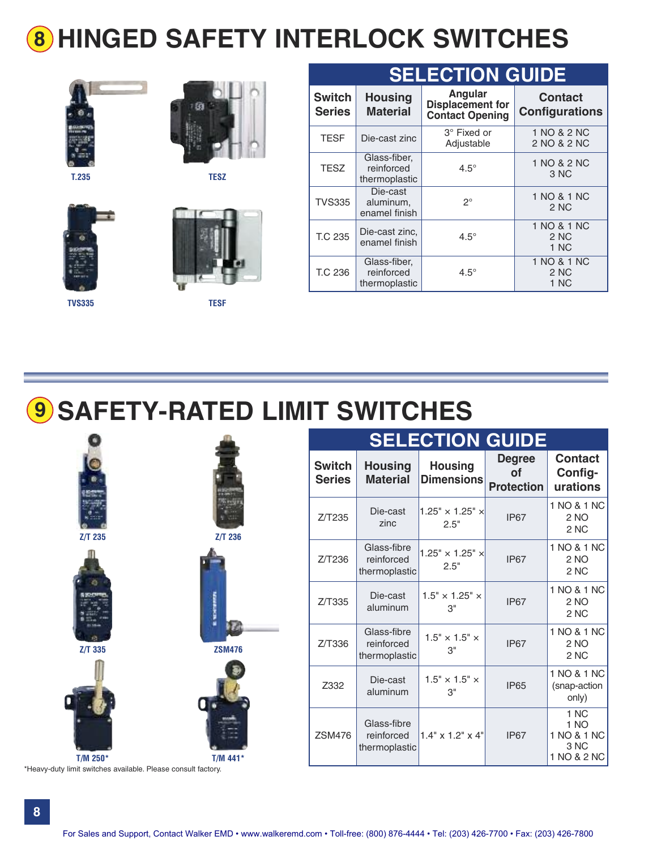# **8 HINGED SAFETY INTERLOCK SWITCHES**







**T.235 TESZ**





| <b>SELECTION GUIDE</b>         |                                             |                                                              |                                         |  |  |  |  |
|--------------------------------|---------------------------------------------|--------------------------------------------------------------|-----------------------------------------|--|--|--|--|
| <b>Switch</b><br><b>Series</b> | <b>Housing</b><br><b>Material</b>           | Angular<br><b>Displacement for</b><br><b>Contact Opening</b> | <b>Contact</b><br><b>Configurations</b> |  |  |  |  |
| <b>TESF</b>                    | Die-cast zinc                               | 3° Fixed or<br>Adjustable                                    | 1 NO & 2 NC<br>2 NO & 2 NC              |  |  |  |  |
| <b>TESZ</b>                    | Glass-fiber,<br>reinforced<br>thermoplastic | $4.5^\circ$                                                  | 1 NO & 2 NC<br>3 NC                     |  |  |  |  |
| <b>TVS335</b>                  | Die-cast<br>aluminum,<br>enamel finish      | $2^{\circ}$                                                  | 1 NO & 1 NC<br>2 NC                     |  |  |  |  |
| <b>T.C 235</b>                 | Die-cast zinc,<br>enamel finish             | $4.5^\circ$                                                  | 1 NO & 1 NC<br>2 NC<br>1 NC             |  |  |  |  |
| T.C 236                        | Glass-fiber,<br>reinforced<br>thermoplastic | $4.5^\circ$                                                  | 1 NO & 1 NC<br>2 NC<br>1 NC             |  |  |  |  |

# **9 SAFETY-RATED LIMIT SWITCHES**



\*Heavy-duty limit switches available. Please consult factory.

| <b>SELECTION GUIDE</b>  |                                            |                                     |                                          |                                                    |  |  |  |
|-------------------------|--------------------------------------------|-------------------------------------|------------------------------------------|----------------------------------------------------|--|--|--|
| Switch<br><b>Series</b> | <b>Housing</b><br><b>Material</b>          | <b>Housing</b><br><b>Dimensions</b> | <b>Degree</b><br>Οf<br><b>Protection</b> | <b>Contact</b><br>Config-<br>urations              |  |  |  |
| Z/T235                  | Die-cast<br>zinc                           | $1.25" \times 1.25" \times$<br>2.5" | <b>IP67</b>                              | 1 NO & 1 NC<br>2 NO<br>2 NC                        |  |  |  |
| Z/T236                  | Glass-fibre<br>reinforced<br>thermoplastic | $1.25" \times 1.25" \times$<br>2.5" | <b>IP67</b>                              | 1 NO & 1 NC<br>2 NO<br>2 <sub>NC</sub>             |  |  |  |
| Z/T335                  | Die-cast<br>aluminum                       | $1.5" \times 1.25" \times$<br>3"    | <b>IP67</b>                              | 1 NO & 1 NC<br>2 NO<br>2 NC                        |  |  |  |
| Z/T336                  | Glass-fibre<br>reinforced<br>thermoplastic | $1.5" \times 1.5" \times$<br>3"     | <b>IP67</b>                              | 1 NO & 1 NC<br>2 NO<br>2 NC                        |  |  |  |
| Z332                    | Die-cast<br>aluminum                       | $1.5" \times 1.5" \times$<br>3"     | <b>IP65</b>                              | 1 NO & 1 NC<br>(snap-action<br>only)               |  |  |  |
| <b>ZSM476</b>           | Glass-fibre<br>reinforced<br>thermoplastic | $1.4"$ x $1.2"$ x $4"$              | <b>IP67</b>                              | 1 NC<br>1 NO<br>1 NO & 1 NC<br>3 NC<br>1 NO & 2 NC |  |  |  |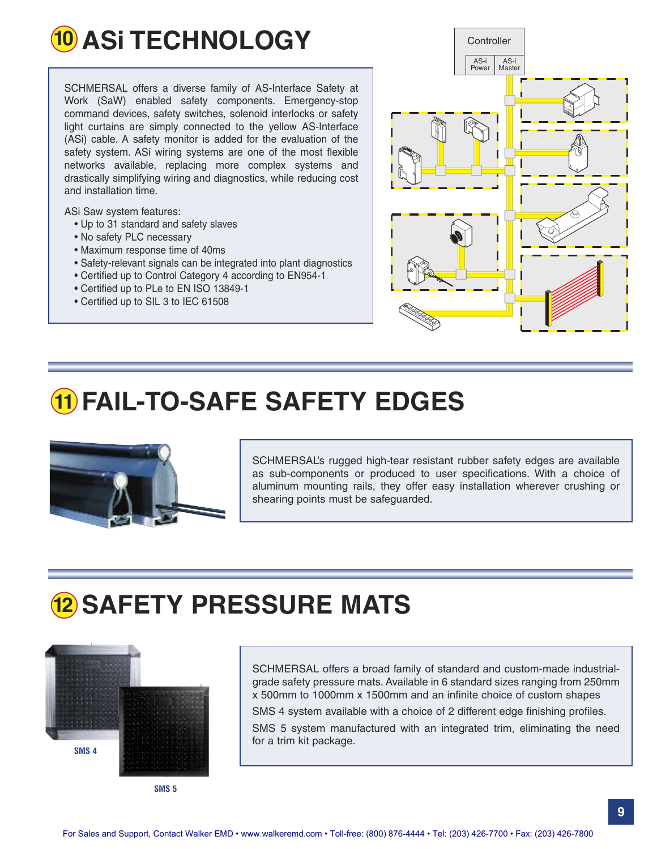

SCHMERSAL offers a diverse family of AS-Interface Safety at Work (SaW) enabled safety components. Emergency-stop command devices, safety switches, solenoid interlocks or safety light curtains are simply connected to the yellow AS-Interface (ASi) cable. A safety monitor is added for the evaluation of the safety system. ASi wiring systems are one of the most flexible networks available, replacing more complex systems and drastically simplifying wiring and diagnostics, while reducing cost and installation time.

ASi Saw system features:

- Up to 31 standard and safety slaves
- No safety PLC necessary
- Maximum response time of 40ms
- Safety-relevant signals can be integrated into plant diagnostics
- Certified up to Control Category 4 according to EN954-1
- Certified up to PLe to EN ISO 13849-1
- Certified up to SIL 3 to IEC 61508



### **11 FAIL-TO-SAFE SAFETY EDGES**



SCHMERSAL's rugged high-tear resistant rubber safety edges are available as sub-components or produced to user specifications. With a choice of aluminum mounting rails, they offer easy installation wherever crushing or shearing points must be safeguarded.

### **12 SAFETY PRESSURE MATS**



**SMS 5**

SCHMERSAL offers a broad family of standard and custom-made industrialgrade safety pressure mats. Available in 6 standard sizes ranging from 250mm x 500mm to 1000mm x 1500mm and an infinite choice of custom shapes

SMS 4 system available with a choice of 2 different edge finishing profiles.

SMS 5 system manufactured with an integrated trim, eliminating the need for a trim kit package.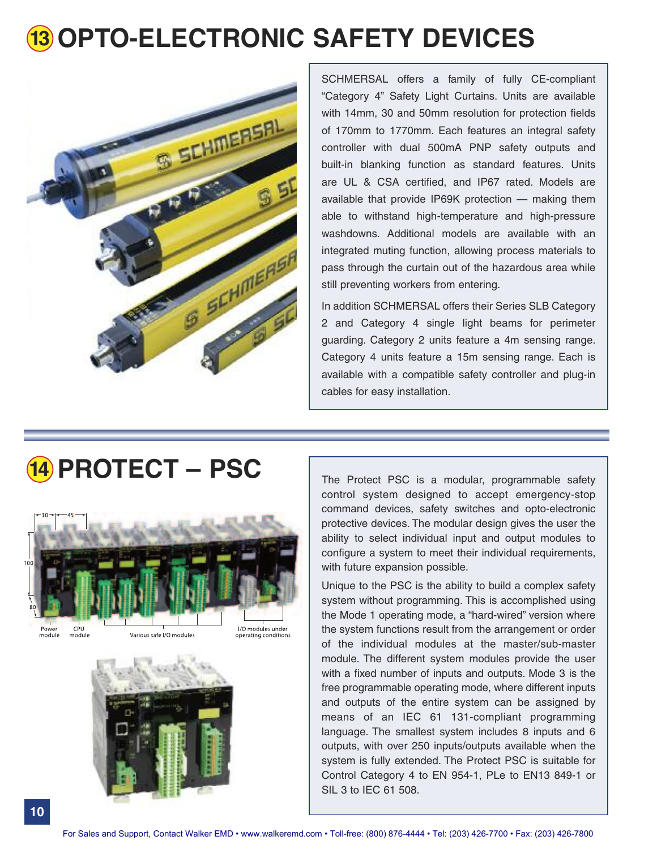# **13 OPTO-ELECTRONIC SAFETY DEVICES**



SCHMERSAL offers a family of fully CE-compliant "Category 4" Safety Light Curtains. Units are available with 14mm, 30 and 50mm resolution for protection fields of 170mm to 1770mm. Each features an integral safety controller with dual 500mA PNP safety outputs and built-in blanking function as standard features. Units are UL & CSA certified, and IP67 rated. Models are available that provide IP69K protection — making them able to withstand high-temperature and high-pressure washdowns. Additional models are available with an integrated muting function, allowing process materials to pass through the curtain out of the hazardous area while still preventing workers from entering.

In addition SCHMERSAL offers their Series SLB Category 2 and Category 4 single light beams for perimeter guarding. Category 2 units feature a 4m sensing range. Category 4 units feature a 15m sensing range. Each is available with a compatible safety controller and plug-in cables for easy installation.

## **14 PROTECT** – PSC The Protect PSC is a modular, programmable safety

![](_page_9_Picture_5.jpeg)

module

operating conditions

![](_page_9_Picture_8.jpeg)

control system designed to accept emergency-stop command devices, safety switches and opto-electronic protective devices. The modular design gives the user the ability to select individual input and output modules to configure a system to meet their individual requirements, with future expansion possible.

Unique to the PSC is the ability to build a complex safety system without programming. This is accomplished using the Mode 1 operating mode, a "hard-wired" version where the system functions result from the arrangement or order of the individual modules at the master/sub-master module. The different system modules provide the user with a fixed number of inputs and outputs. Mode 3 is the free programmable operating mode, where different inputs and outputs of the entire system can be assigned by means of an IEC 61 131-compliant programming language. The smallest system includes 8 inputs and 6 outputs, with over 250 inputs/outputs available when the system is fully extended. The Protect PSC is suitable for Control Category 4 to EN 954-1, PLe to EN13 849-1 or SIL 3 to IEC 61 508.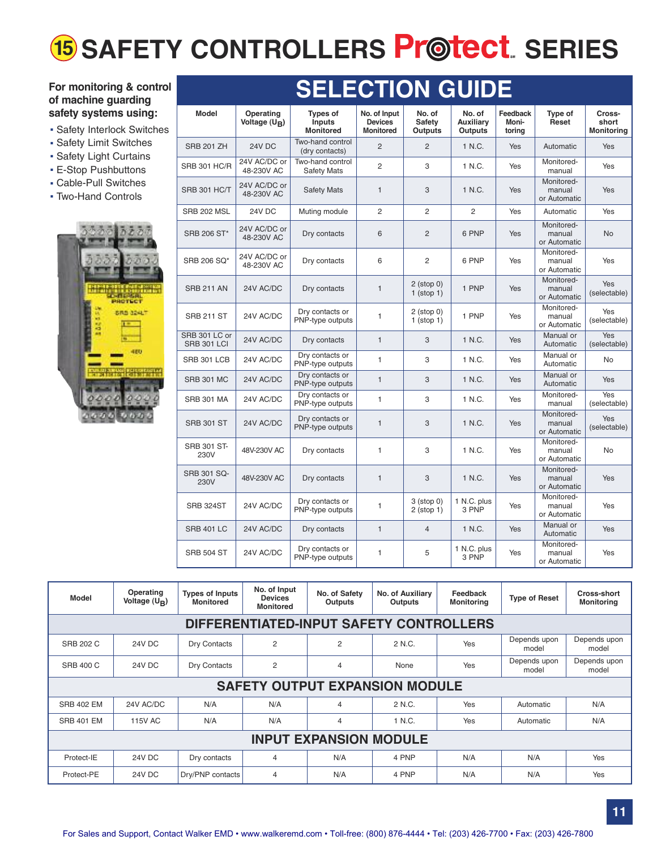# **15** SAFETY CONTROLLERS  $\mathsf{P}\mathsf{r}$ @tect. SERIES

#### **For monitoring & control of machine guarding safety systems using:**

- **Safety Interlock Switches**
- **Safety Limit Switches**
- .Safety Light Curtains
- .E-Stop Pushbuttons
- . Cable-Pull Switches
- . Two-Hand Controls

![](_page_10_Picture_8.jpeg)

| <b>SELECTION GUIDE</b>              |                              |                                                      |                                                    |                                           |                                              |                             |                                      |                                      |
|-------------------------------------|------------------------------|------------------------------------------------------|----------------------------------------------------|-------------------------------------------|----------------------------------------------|-----------------------------|--------------------------------------|--------------------------------------|
| <b>Model</b>                        | Operating<br>Voltage $(U_R)$ | <b>Types of</b><br><b>Inputs</b><br><b>Monitored</b> | No. of Input<br><b>Devices</b><br><b>Monitored</b> | No. of<br><b>Safety</b><br><b>Outputs</b> | No. of<br><b>Auxiliarv</b><br><b>Outputs</b> | Feedback<br>Moni-<br>torina | Type of<br>Reset                     | Cross-<br>short<br><b>Monitoring</b> |
| <b>SRB 201 ZH</b>                   | 24V DC                       | Two-hand control<br>(dry contacts)                   | $\overline{2}$                                     | $\overline{2}$                            | 1 N.C.                                       | Yes                         | Automatic                            | Yes                                  |
| <b>SRB 301 HC/R</b>                 | 24V AC/DC or<br>48-230V AC   | Two-hand control<br><b>Safety Mats</b>               | $\overline{2}$                                     | 3                                         | 1 N.C.                                       | Yes                         | Monitored-<br>manual                 | Yes                                  |
| SRB 301 HC/T                        | 24V AC/DC or<br>48-230V AC   | <b>Safety Mats</b>                                   | $\mathbf{1}$                                       | 3                                         | 1 N.C.                                       | Yes                         | Monitored-<br>manual<br>or Automatic | <b>Yes</b>                           |
| SRB 202 MSL                         | 24V DC                       | Muting module                                        | $\overline{2}$                                     | $\overline{2}$                            | $\overline{2}$                               | Yes                         | Automatic                            | Yes                                  |
| SRB 206 ST*                         | 24V AC/DC or<br>48-230V AC   | Dry contacts                                         | 6                                                  | $\overline{2}$                            | 6 PNP                                        | <b>Yes</b>                  | Monitored-<br>manual<br>or Automatic | <b>No</b>                            |
| SRB 206 SO*                         | 24V AC/DC or<br>48-230V AC   | Dry contacts                                         | 6                                                  | $\overline{2}$                            | 6 PNP                                        | Yes                         | Monitored-<br>manual<br>or Automatic | Yes                                  |
| <b>SRB 211 AN</b>                   | 24V AC/DC                    | Dry contacts                                         | $\mathbf{1}$                                       | $2$ (stop 0)<br>$1$ (stop $1$ )           | 1 PNP                                        | Yes                         | Monitored-<br>manual<br>or Automatic | <b>Yes</b><br>(selectable)           |
| <b>SRB 211 ST</b>                   | 24V AC/DC                    | Dry contacts or<br>PNP-type outputs                  | $\mathbf{1}$                                       | $2$ (stop 0)<br>$1$ (stop $1$ )           | 1 PNP                                        | Yes                         | Monitored-<br>manual<br>or Automatic | Yes<br>(selectable)                  |
| SRB 301 LC or<br><b>SRB 301 LCI</b> | 24V AC/DC                    | Dry contacts                                         | $\mathbf{1}$                                       | 3                                         | 1 N.C.                                       | Yes                         | Manual or<br>Automatic               | Yes<br>(selectable)                  |
| SRB 301 LCB                         | 24V AC/DC                    | Dry contacts or<br>PNP-type outputs                  | $\mathbf{1}$                                       | 3                                         | 1 N.C.                                       | Yes                         | Manual or<br>Automatic               | <b>No</b>                            |
| <b>SRB 301 MC</b>                   | 24V AC/DC                    | Dry contacts or<br>PNP-type outputs                  | $\mathbf{1}$                                       | 3                                         | 1 N.C.                                       | Yes                         | Manual or<br>Automatic               | Yes                                  |
| <b>SRB 301 MA</b>                   | 24V AC/DC                    | Dry contacts or<br>PNP-type outputs                  | $\mathbf{1}$                                       | 3                                         | 1 N.C.                                       | Yes                         | Monitored-<br>manual                 | Yes<br>(selectable)                  |
| <b>SRB 301 ST</b>                   | 24V AC/DC                    | Dry contacts or<br>PNP-type outputs                  | $\mathbf{1}$                                       | 3                                         | 1 N.C.                                       | Yes                         | Monitored-<br>manual<br>or Automatic | Yes<br>(selectable)                  |
| <b>SRB 301 ST-</b><br>230V          | 48V-230V AC                  | Dry contacts                                         | $\mathbf{1}$                                       | 3                                         | 1 N.C.                                       | Yes                         | Monitored-<br>manual<br>or Automatic | No                                   |
| <b>SRB 301 SQ-</b><br>230V          | 48V-230V AC                  | Dry contacts                                         | $\mathbf{1}$                                       | 3                                         | 1 N.C.                                       | Yes                         | Monitored-<br>manual<br>or Automatic | Yes                                  |
| SRB 324ST                           | 24V AC/DC                    | Dry contacts or<br>PNP-type outputs                  | $\mathbf{1}$                                       | $3$ (stop $0$ )<br>$2$ (stop 1)           | 1 N.C. plus<br>3 PNP                         | Yes                         | Monitored-<br>manual<br>or Automatic | Yes                                  |
| <b>SRB 401 LC</b>                   | 24V AC/DC                    | Dry contacts                                         | $\mathbf{1}$                                       | $\overline{4}$                            | 1 N.C.                                       | Yes                         | Manual or<br>Automatic               | Yes                                  |
| <b>SRB 504 ST</b>                   | 24V AC/DC                    | Dry contacts or<br>PNP-type outputs                  | $\mathbf{1}$                                       | 5                                         | 1 N.C. plus<br>3 PNP                         | Yes                         | Monitored-<br>manual<br>or Automatic | Yes                                  |

| Model                                   | Operating<br>Voltage $(U_R)$ | <b>Types of Inputs</b><br><b>Monitored</b> | No. of Input<br><b>Devices</b><br><b>Monitored</b> | No. of Safety<br><b>Outputs</b> | No. of Auxiliary<br>Outputs | Feedback<br><b>Monitoring</b> | <b>Type of Reset</b>  | Cross-short<br><b>Monitoring</b> |  |
|-----------------------------------------|------------------------------|--------------------------------------------|----------------------------------------------------|---------------------------------|-----------------------------|-------------------------------|-----------------------|----------------------------------|--|
| DIFFERENTIATED-INPUT SAFETY CONTROLLERS |                              |                                            |                                                    |                                 |                             |                               |                       |                                  |  |
| <b>SRB 202 C</b>                        | 24V DC                       | Dry Contacts                               | $\overline{2}$                                     | 2                               | 2 N.C.                      | Yes                           | Depends upon<br>model | Depends upon<br>model            |  |
| <b>SRB 400 C</b>                        | 24V DC                       | Dry Contacts                               | $\overline{2}$                                     | $\overline{4}$                  | None                        | Yes                           | Depends upon<br>model | Depends upon<br>model            |  |
| <b>SAFETY OUTPUT EXPANSION MODULE</b>   |                              |                                            |                                                    |                                 |                             |                               |                       |                                  |  |
| <b>SRB 402 EM</b>                       | 24V AC/DC                    | N/A                                        | N/A                                                | $\overline{4}$                  | 2 N.C.                      | Yes                           | Automatic             | N/A                              |  |
| <b>SRB 401 EM</b>                       | 115V AC                      | N/A                                        | N/A                                                | $\overline{4}$                  | 1 N.C.                      | Yes                           | Automatic             | N/A                              |  |
| <b>INPUT EXPANSION MODULE</b>           |                              |                                            |                                                    |                                 |                             |                               |                       |                                  |  |
| Protect-IE                              | 24V DC                       | Dry contacts                               | 4                                                  | N/A                             | 4 PNP                       | N/A                           | N/A                   | Yes                              |  |
| Protect-PE                              | 24V DC                       | Dry/PNP contacts                           | $\overline{4}$                                     | N/A                             | 4 PNP                       | N/A                           | N/A                   | Yes                              |  |